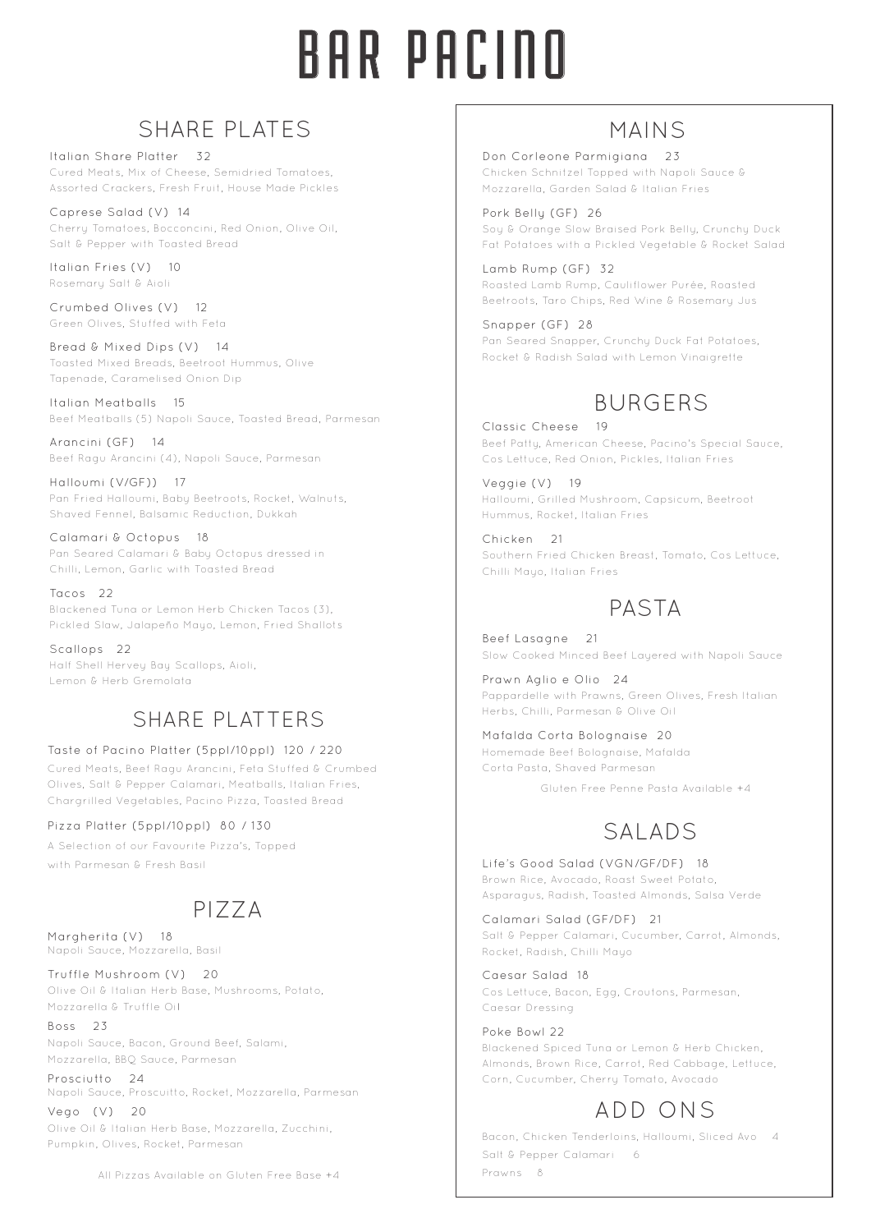# BAR PACINO

## SHARE PLATES

Italian Share Platter 32 Cured Meats, Mix of Cheese, Semidried Tomatoes, Assorted Crackers, Fresh Fruit, House Made Pickles

Caprese Salad (V) 14 Cherry Tomatoes, Bocconcini, Red Onion, Olive Oil, Salt & Pepper with Toasted Bread

Italian Fries (V) 10 Rosemary Salt & Aioli

Crumbed Olives (V) 12 Green Olives, Stuffed with Feta

Bread & Mixed Dips (V) 14 Toasted Mixed Breads, Beetroot Hummus, Olive Tapenade, Caramelised Onion Dip

Italian Meatballs 15 Beef Meatballs (5) Napoli Sauce, Toasted Bread, Parmesan

Arancini (GF) 14 Beef Ragu Arancini (4), Napoli Sauce, Parmesan

Halloumi (V/GF)) 17 Pan Fried Halloumi, Baby Beetroots, Rocket, Walnuts, Shaved Fennel, Balsamic Reduction, Dukkah

Calamari & Octopus 18 Pan Seared Calamari & Baby Octopus dressed in Chilli, Lemon, Garlic with Toasted Bread

Tacos 22 Blackened Tuna or Lemon Herb Chicken Tacos (3), Pickled Slaw, Jalapeño Mayo, Lemon, Fried Shallots

Scallops 22 Half Shell Hervey Bay Scallops, Aioli, Lemon & Herb Gremolata

## SHARE PLATTERS

### Taste of Pacino Platter (5ppl/10ppl) 120 / 220

Cured Meats, Beef Ragu Arancini, Feta Stuffed & Crumbed Olives, Salt & Pepper Calamari, Meatballs, Italian Fries, Chargrilled Vegetables, Pacino Pizza, Toasted Bread

### Pizza Platter (5ppl/10ppl) 80 / 130

A Selection of our Favourite Pizza's, Topped with Parmesan & Fresh Basil

# PIZZA

Margherita (V) 18 Napoli Sauce, Mozzarella, Basil

Truffle Mushroom (V) 20 Olive Oil & Italian Herb Base, Mushrooms, Potato, Mozzarella & Truffle Oil

Boss 23 Napoli Sauce, Bacon, Ground Beef, Salami, Mozzarella, BBQ Sauce, Parmesan

Prosciutto 24 Napoli Sauce, Proscuitto, Rocket, Mozzarella, Parmesan

Vego (V) 20 Olive Oil & Italian Herb Base, Mozzarella, Zucchini, Pumpkin, Olives, Rocket, Parmesan

All Pizzas Available on Gluten Free Base +4

## MAINS

Don Corleone Parmigiana 23 Chicken Schnitzel Topped with Napoli Sauce & Mozzarella, Garden Salad & Italian Fries

Pork Belly (GF) 26 Soy & Orange Slow Braised Pork Belly, Crunchy Duck Fat Potatoes with a Pickled Vegetable & Rocket Salad

Lamb Rump (GF) 32 Roasted Lamb Rump, Cauliflower Purée, Roasted Beetroots, Taro Chips, Red Wine & Rosemary Jus

Snapper (GF) 28 Pan Seared Snapper, Crunchy Duck Fat Potatoes, Rocket & Radish Salad with Lemon Vinaigrette

## BURGERS

Classic Cheese 19 Beef Patty, American Cheese, Pacino's Special Sauce, Cos Lettuce, Red Onion, Pickles, Italian Fries

Veggie (V) 19 Halloumi, Grilled Mushroom, Capsicum, Beetroot Hummus, Rocket, Italian Fries

Chicken 21 Southern Fried Chicken Breast, Tomato, Cos Lettuce, Chilli Mayo, Italian Fries

## PASTA

Beef Lasagne 21 Slow Cooked Minced Beef Layered with Napoli Sauce

Prawn Aglio e Olio 24 Pappardelle with Prawns, Green Olives, Fresh Italian Herbs, Chilli, Parmesan & Olive Oil

Mafalda Corta Bolognaise 20 Homemade Beef Bolognaise, Mafalda Corta Pasta, Shaved Parmesan

Gluten Free Penne Pasta Available +4

## SALADS

Life's Good Salad (VGN/GF/DF) 18 Brown Rice, Avocado, Roast Sweet Potato, Asparagus, Radish, Toasted Almonds, Salsa Verde

Calamari Salad (GF/DF) 21 Salt & Pepper Calamari, Cucumber, Carrot, Almonds, Rocket, Radish, Chilli Mayo

Caesar Salad 18 Cos Lettuce, Bacon, Egg, Croutons, Parmesan, Caesar Dressing

Poke Bowl 22 Blackened Spiced Tuna or Lemon & Herb Chicken, Almonds, Brown Rice, Carrot, Red Cabbage, Lettuce, Corn, Cucumber, Cherry Tomato, Avocado

# ADD ONS

Bacon, Chicken Tenderloins, Halloumi, Sliced Avo 4 Salt & Pepper Calamari 6 Prawns 8